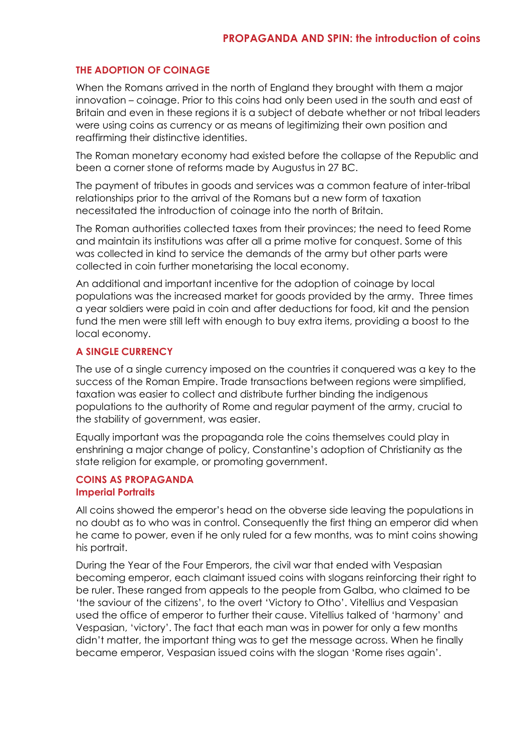### **THE ADOPTION OF COINAGE**

When the Romans arrived in the north of England they brought with them a major innovation – coinage. Prior to this coins had only been used in the south and east of Britain and even in these regions it is a subject of debate whether or not tribal leaders were using coins as currency or as means of legitimizing their own position and reaffirming their distinctive identities.

The Roman monetary economy had existed before the collapse of the Republic and been a corner stone of reforms made by Augustus in 27 BC.

The payment of tributes in goods and services was a common feature of inter-tribal relationships prior to the arrival of the Romans but a new form of taxation necessitated the introduction of coinage into the north of Britain.

The Roman authorities collected taxes from their provinces; the need to feed Rome and maintain its institutions was after all a prime motive for conquest. Some of this was collected in kind to service the demands of the army but other parts were collected in coin further monetarising the local economy.

An additional and important incentive for the adoption of coinage by local populations was the increased market for goods provided by the army. Three times a year soldiers were paid in coin and after deductions for food, kit and the pension fund the men were still left with enough to buy extra items, providing a boost to the local economy.

### **A SINGLE CURRENCY**

The use of a single currency imposed on the countries it conquered was a key to the success of the Roman Empire. Trade transactions between regions were simplified, taxation was easier to collect and distribute further binding the indigenous populations to the authority of Rome and regular payment of the army, crucial to the stability of government, was easier.

Equally important was the propaganda role the coins themselves could play in enshrining a major change of policy, Constantine's adoption of Christianity as the state religion for example, or promoting government.

#### **COINS AS PROPAGANDA Imperial Portraits**

All coins showed the emperor's head on the obverse side leaving the populations in no doubt as to who was in control. Consequently the first thing an emperor did when he came to power, even if he only ruled for a few months, was to mint coins showing his portrait.

During the Year of the Four Emperors, the civil war that ended with Vespasian becoming emperor, each claimant issued coins with slogans reinforcing their right to be ruler. These ranged from appeals to the people from Galba, who claimed to be 'the saviour of the citizens', to the overt 'Victory to Otho'. Vitellius and Vespasian used the office of emperor to further their cause. Vitellius talked of 'harmony' and Vespasian, 'victory'. The fact that each man was in power for only a few months didn't matter, the important thing was to get the message across. When he finally became emperor, Vespasian issued coins with the slogan 'Rome rises again'.